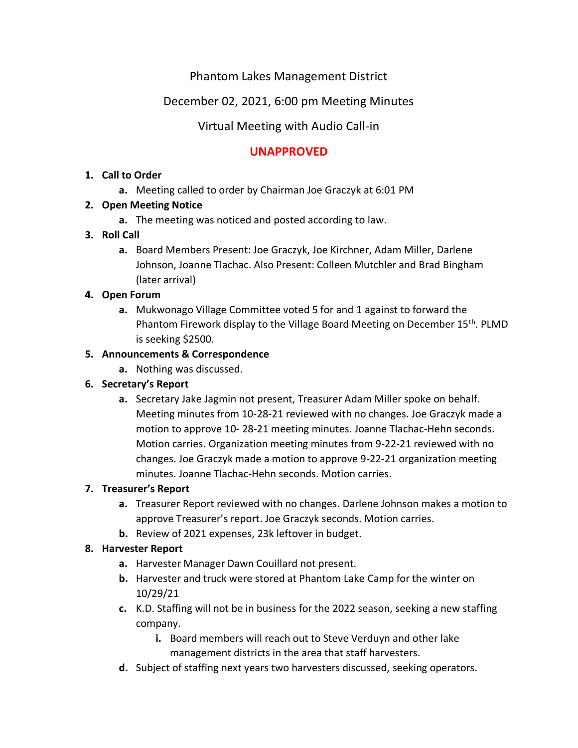# Phantom Lakes Management District

# December 02, 2021, 6:00 pm Meeting Minutes

# Virtual Meeting with Audio Call-in

# **UNAPPROVED**

#### **1. Call to Order**

**a.** Meeting called to order by Chairman Joe Graczyk at 6:01 PM

### **2. Open Meeting Notice**

**a.** The meeting was noticed and posted according to law.

### **3. Roll Call**

**a.** Board Members Present: Joe Graczyk, Joe Kirchner, Adam Miller, Darlene Johnson, Joanne Tlachac. Also Present: Colleen Mutchler and Brad Bingham (later arrival)

### **4. Open Forum**

**a.** Mukwonago Village Committee voted 5 for and 1 against to forward the Phantom Firework display to the Village Board Meeting on December 15th. PLMD is seeking \$2500.

### **5. Announcements & Correspondence**

**a.** Nothing was discussed.

# **6. Secretary's Report**

**a.** Secretary Jake Jagmin not present, Treasurer Adam Miller spoke on behalf. Meeting minutes from 10-28-21 reviewed with no changes. Joe Graczyk made a motion to approve 10- 28-21 meeting minutes. Joanne Tlachac-Hehn seconds. Motion carries. Organization meeting minutes from 9-22-21 reviewed with no changes. Joe Graczyk made a motion to approve 9-22-21 organization meeting minutes. Joanne Tlachac-Hehn seconds. Motion carries.

# **7. Treasurer's Report**

- **a.** Treasurer Report reviewed with no changes. Darlene Johnson makes a motion to approve Treasurer's report. Joe Graczyk seconds. Motion carries.
- **b.** Review of 2021 expenses, 23k leftover in budget.

#### **8. Harvester Report**

- **a.** Harvester Manager Dawn Couillard not present.
- **b.** Harvester and truck were stored at Phantom Lake Camp for the winter on 10/29/21
- **c.** K.D. Staffing will not be in business for the 2022 season, seeking a new staffing company.
	- **i.** Board members will reach out to Steve Verduyn and other lake management districts in the area that staff harvesters.
- **d.** Subject of staffing next years two harvesters discussed, seeking operators.